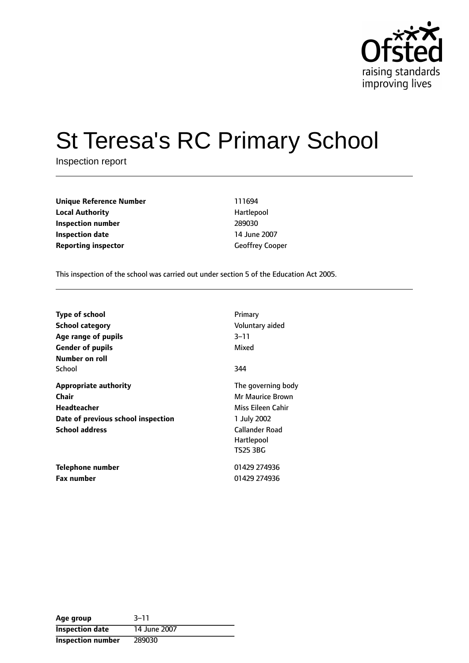

# St Teresa's RC Primary School

Inspection report

**Unique Reference Number** 111694 **Local Authority Hartlepool Inspection number** 289030 **Inspection date** 14 June 2007 **Reporting inspector** Geoffrey Cooper

This inspection of the school was carried out under section 5 of the Education Act 2005.

| Type of school<br>School category<br>Age range of pupils<br><b>Gender of pupils</b><br>Number on roll                      | Primary<br>Voluntary aided<br>$3 - 11$<br>Mixed                                                                               |
|----------------------------------------------------------------------------------------------------------------------------|-------------------------------------------------------------------------------------------------------------------------------|
| School                                                                                                                     | 344                                                                                                                           |
| <b>Appropriate authority</b><br>Chair<br><b>Headteacher</b><br>Date of previous school inspection<br><b>School address</b> | The governing body<br>Mr Maurice Brown<br>Miss Eileen Cahir<br>1 July 2002<br><b>Callander Road</b><br>Hartlepool<br>TS25 3BG |
| Telephone number<br><b>Fax number</b>                                                                                      | 01429 274936<br>01429 274936                                                                                                  |

| Age group                | $3 - 11$     |
|--------------------------|--------------|
| <b>Inspection date</b>   | 14 June 2007 |
| <b>Inspection number</b> | 289030       |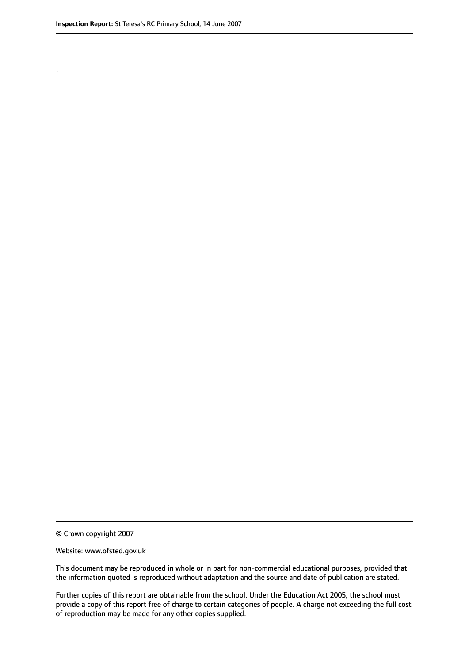.

© Crown copyright 2007

#### Website: www.ofsted.gov.uk

This document may be reproduced in whole or in part for non-commercial educational purposes, provided that the information quoted is reproduced without adaptation and the source and date of publication are stated.

Further copies of this report are obtainable from the school. Under the Education Act 2005, the school must provide a copy of this report free of charge to certain categories of people. A charge not exceeding the full cost of reproduction may be made for any other copies supplied.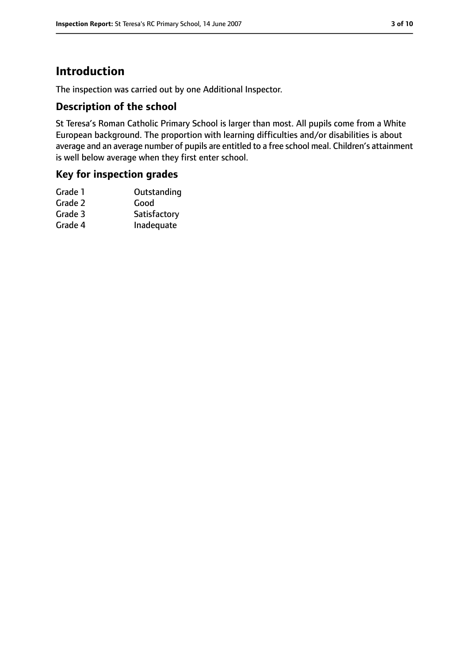# **Introduction**

The inspection was carried out by one Additional Inspector.

## **Description of the school**

St Teresa's Roman Catholic Primary School is larger than most. All pupils come from a White European background. The proportion with learning difficulties and/or disabilities is about average and an average number of pupils are entitled to a free school meal. Children's attainment is well below average when they first enter school.

## **Key for inspection grades**

| Good         |
|--------------|
| Satisfactory |
| Inadequate   |
|              |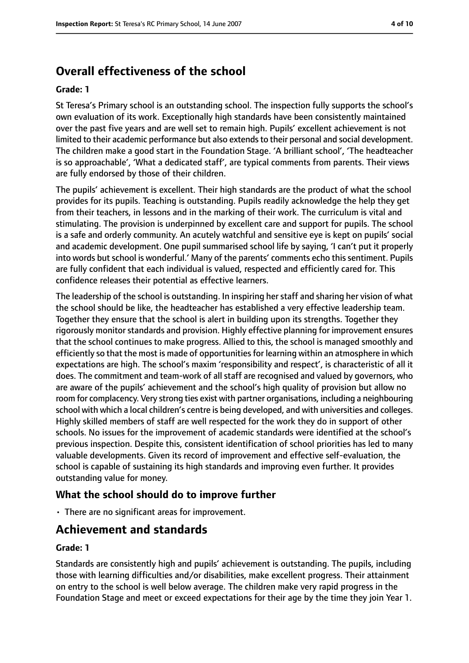# **Overall effectiveness of the school**

#### **Grade: 1**

St Teresa's Primary school is an outstanding school. The inspection fully supports the school's own evaluation of its work. Exceptionally high standards have been consistently maintained over the past five years and are well set to remain high. Pupils' excellent achievement is not limited to their academic performance but also extends to their personal and social development. The children make a good start in the Foundation Stage. 'A brilliant school', 'The headteacher is so approachable', 'What a dedicated staff', are typical comments from parents. Their views are fully endorsed by those of their children.

The pupils' achievement is excellent. Their high standards are the product of what the school provides for its pupils. Teaching is outstanding. Pupils readily acknowledge the help they get from their teachers, in lessons and in the marking of their work. The curriculum is vital and stimulating. The provision is underpinned by excellent care and support for pupils. The school is a safe and orderly community. An acutely watchful and sensitive eye is kept on pupils' social and academic development. One pupil summarised school life by saying, 'I can't put it properly into words but school is wonderful.' Many of the parents' comments echo this sentiment. Pupils are fully confident that each individual is valued, respected and efficiently cared for. This confidence releases their potential as effective learners.

The leadership of the school is outstanding. In inspiring her staff and sharing her vision of what the school should be like, the headteacher has established a very effective leadership team. Together they ensure that the school is alert in building upon its strengths. Together they rigorously monitor standards and provision. Highly effective planning for improvement ensures that the school continues to make progress. Allied to this, the school is managed smoothly and efficiently so that the most is made of opportunities for learning within an atmosphere in which expectations are high. The school's maxim 'responsibility and respect', is characteristic of all it does. The commitment and team-work of all staff are recognised and valued by governors, who are aware of the pupils' achievement and the school's high quality of provision but allow no room for complacency. Very strong ties exist with partner organisations, including a neighbouring school with which a local children's centre is being developed, and with universities and colleges. Highly skilled members of staff are well respected for the work they do in support of other schools. No issues for the improvement of academic standards were identified at the school's previous inspection. Despite this, consistent identification of school priorities has led to many valuable developments. Given its record of improvement and effective self-evaluation, the school is capable of sustaining its high standards and improving even further. It provides outstanding value for money.

## **What the school should do to improve further**

• There are no significant areas for improvement.

## **Achievement and standards**

#### **Grade: 1**

Standards are consistently high and pupils' achievement is outstanding. The pupils, including those with learning difficulties and/or disabilities, make excellent progress. Their attainment on entry to the school is well below average. The children make very rapid progress in the Foundation Stage and meet or exceed expectations for their age by the time they join Year 1.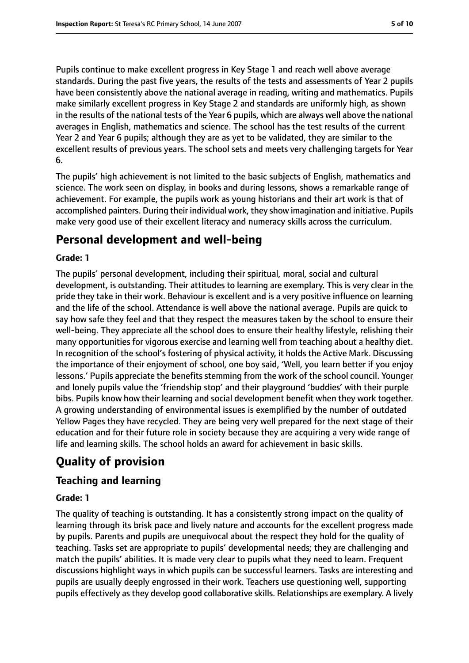Pupils continue to make excellent progress in Key Stage 1 and reach well above average standards. During the past five years, the results of the tests and assessments of Year 2 pupils have been consistently above the national average in reading, writing and mathematics. Pupils make similarly excellent progress in Key Stage 2 and standards are uniformly high, as shown in the results of the national tests of the Year 6 pupils, which are always well above the national averages in English, mathematics and science. The school has the test results of the current Year 2 and Year 6 pupils; although they are as yet to be validated, they are similar to the excellent results of previous years. The school sets and meets very challenging targets for Year 6.

The pupils' high achievement is not limited to the basic subjects of English, mathematics and science. The work seen on display, in books and during lessons, shows a remarkable range of achievement. For example, the pupils work as young historians and their art work is that of accomplished painters. During their individual work, they show imagination and initiative. Pupils make very good use of their excellent literacy and numeracy skills across the curriculum.

## **Personal development and well-being**

#### **Grade: 1**

The pupils' personal development, including their spiritual, moral, social and cultural development, is outstanding. Their attitudes to learning are exemplary. This is very clear in the pride they take in their work. Behaviour is excellent and is a very positive influence on learning and the life of the school. Attendance is well above the national average. Pupils are quick to say how safe they feel and that they respect the measures taken by the school to ensure their well-being. They appreciate all the school does to ensure their healthy lifestyle, relishing their many opportunities for vigorous exercise and learning well from teaching about a healthy diet. In recognition of the school's fostering of physical activity, it holds the Active Mark. Discussing the importance of their enjoyment of school, one boy said, 'Well, you learn better if you enjoy lessons.' Pupils appreciate the benefits stemming from the work of the school council. Younger and lonely pupils value the 'friendship stop' and their playground 'buddies' with their purple bibs. Pupils know how their learning and social development benefit when they work together. A growing understanding of environmental issues is exemplified by the number of outdated Yellow Pages they have recycled. They are being very well prepared for the next stage of their education and for their future role in society because they are acquiring a very wide range of life and learning skills. The school holds an award for achievement in basic skills.

# **Quality of provision**

## **Teaching and learning**

#### **Grade: 1**

The quality of teaching is outstanding. It has a consistently strong impact on the quality of learning through its brisk pace and lively nature and accounts for the excellent progress made by pupils. Parents and pupils are unequivocal about the respect they hold for the quality of teaching. Tasks set are appropriate to pupils' developmental needs; they are challenging and match the pupils' abilities. It is made very clear to pupils what they need to learn. Frequent discussions highlight ways in which pupils can be successful learners. Tasks are interesting and pupils are usually deeply engrossed in their work. Teachers use questioning well, supporting pupils effectively as they develop good collaborative skills. Relationships are exemplary. A lively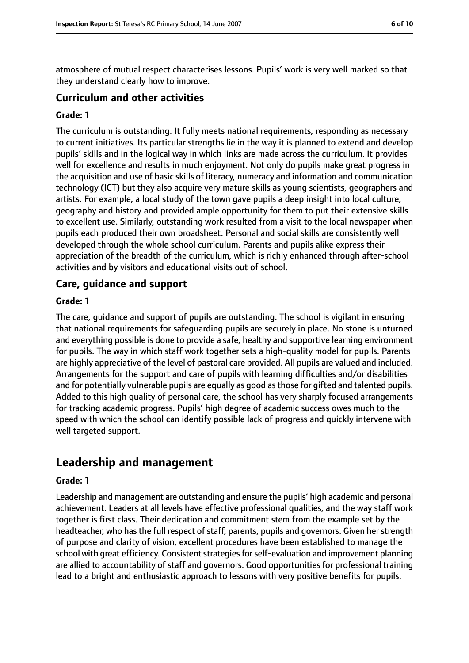atmosphere of mutual respect characterises lessons. Pupils' work is very well marked so that they understand clearly how to improve.

#### **Curriculum and other activities**

#### **Grade: 1**

The curriculum is outstanding. It fully meets national requirements, responding as necessary to current initiatives. Its particular strengths lie in the way it is planned to extend and develop pupils' skills and in the logical way in which links are made across the curriculum. It provides well for excellence and results in much enjoyment. Not only do pupils make great progress in the acquisition and use of basic skills of literacy, numeracy and information and communication technology (ICT) but they also acquire very mature skills as young scientists, geographers and artists. For example, a local study of the town gave pupils a deep insight into local culture, geography and history and provided ample opportunity for them to put their extensive skills to excellent use. Similarly, outstanding work resulted from a visit to the local newspaper when pupils each produced their own broadsheet. Personal and social skills are consistently well developed through the whole school curriculum. Parents and pupils alike express their appreciation of the breadth of the curriculum, which is richly enhanced through after-school activities and by visitors and educational visits out of school.

#### **Care, guidance and support**

#### **Grade: 1**

The care, guidance and support of pupils are outstanding. The school is vigilant in ensuring that national requirements for safeguarding pupils are securely in place. No stone is unturned and everything possible is done to provide a safe, healthy and supportive learning environment for pupils. The way in which staff work together sets a high-quality model for pupils. Parents are highly appreciative of the level of pastoral care provided. All pupils are valued and included. Arrangements for the support and care of pupils with learning difficulties and/or disabilities and for potentially vulnerable pupils are equally as good as those for gifted and talented pupils. Added to this high quality of personal care, the school has very sharply focused arrangements for tracking academic progress. Pupils' high degree of academic success owes much to the speed with which the school can identify possible lack of progress and quickly intervene with well targeted support.

## **Leadership and management**

#### **Grade: 1**

Leadership and management are outstanding and ensure the pupils' high academic and personal achievement. Leaders at all levels have effective professional qualities, and the way staff work together is first class. Their dedication and commitment stem from the example set by the headteacher, who has the full respect of staff, parents, pupils and governors. Given her strength of purpose and clarity of vision, excellent procedures have been established to manage the school with great efficiency. Consistent strategies for self-evaluation and improvement planning are allied to accountability of staff and governors. Good opportunities for professional training lead to a bright and enthusiastic approach to lessons with very positive benefits for pupils.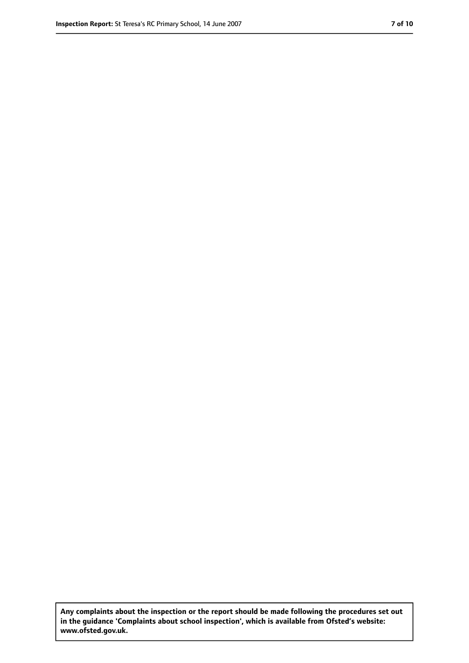**Any complaints about the inspection or the report should be made following the procedures set out in the guidance 'Complaints about school inspection', which is available from Ofsted's website: www.ofsted.gov.uk.**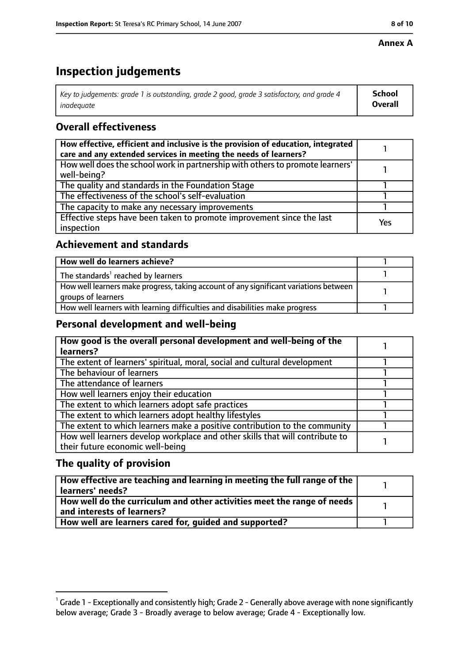#### **Annex A**

# **Inspection judgements**

| Key to judgements: grade 1 is outstanding, grade 2 good, grade 3 satisfactory, and grade 4 | School         |
|--------------------------------------------------------------------------------------------|----------------|
| inadeguate                                                                                 | <b>Overall</b> |

## **Overall effectiveness**

| How effective, efficient and inclusive is the provision of education, integrated<br>care and any extended services in meeting the needs of learners? |     |
|------------------------------------------------------------------------------------------------------------------------------------------------------|-----|
| How well does the school work in partnership with others to promote learners'<br>well-being?                                                         |     |
| The quality and standards in the Foundation Stage                                                                                                    |     |
| The effectiveness of the school's self-evaluation                                                                                                    |     |
| The capacity to make any necessary improvements                                                                                                      |     |
| Effective steps have been taken to promote improvement since the last<br>inspection                                                                  | Yes |

## **Achievement and standards**

| How well do learners achieve?                                                                               |  |
|-------------------------------------------------------------------------------------------------------------|--|
| The standards <sup>1</sup> reached by learners                                                              |  |
| How well learners make progress, taking account of any significant variations between<br>groups of learners |  |
| How well learners with learning difficulties and disabilities make progress                                 |  |

## **Personal development and well-being**

| How good is the overall personal development and well-being of the           |  |
|------------------------------------------------------------------------------|--|
| learners?                                                                    |  |
| The extent of learners' spiritual, moral, social and cultural development    |  |
| The behaviour of learners                                                    |  |
| The attendance of learners                                                   |  |
| How well learners enjoy their education                                      |  |
| The extent to which learners adopt safe practices                            |  |
| The extent to which learners adopt healthy lifestyles                        |  |
| The extent to which learners make a positive contribution to the community   |  |
| How well learners develop workplace and other skills that will contribute to |  |
| their future economic well-being                                             |  |

## **The quality of provision**

| How effective are teaching and learning in meeting the full range of the<br>learners' needs?          |  |
|-------------------------------------------------------------------------------------------------------|--|
| How well do the curriculum and other activities meet the range of needs<br>and interests of learners? |  |
| How well are learners cared for, guided and supported?                                                |  |

 $^1$  Grade 1 - Exceptionally and consistently high; Grade 2 - Generally above average with none significantly below average; Grade 3 - Broadly average to below average; Grade 4 - Exceptionally low.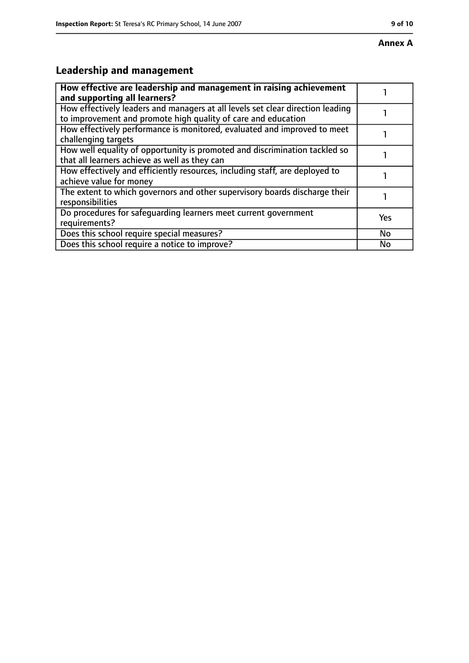# **Annex A**

# **Leadership and management**

| How effective are leadership and management in raising achievement<br>and supporting all learners?                                              |           |
|-------------------------------------------------------------------------------------------------------------------------------------------------|-----------|
| How effectively leaders and managers at all levels set clear direction leading<br>to improvement and promote high quality of care and education |           |
| How effectively performance is monitored, evaluated and improved to meet<br>challenging targets                                                 |           |
| How well equality of opportunity is promoted and discrimination tackled so<br>that all learners achieve as well as they can                     |           |
| How effectively and efficiently resources, including staff, are deployed to<br>achieve value for money                                          |           |
| The extent to which governors and other supervisory boards discharge their<br>responsibilities                                                  |           |
| Do procedures for safequarding learners meet current government<br>requirements?                                                                | Yes       |
| Does this school require special measures?                                                                                                      | <b>No</b> |
| Does this school require a notice to improve?                                                                                                   | No        |